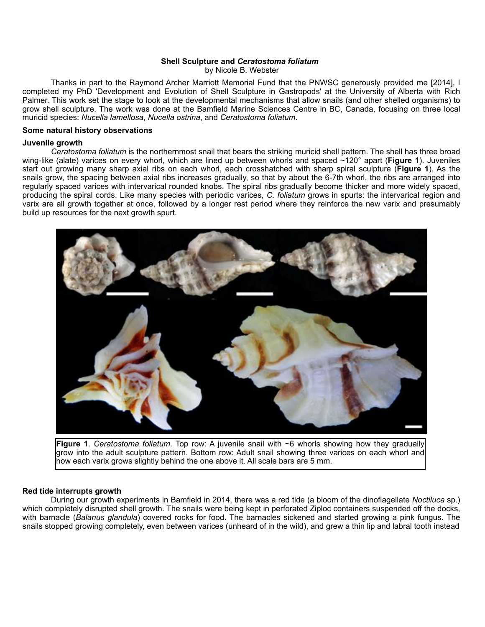# **Shell Sculpture and** *Ceratostoma foliatum*

by Nicole B. Webster

 Thanks in part to the Raymond Archer Marriott Memorial Fund that the PNWSC generously provided me [2014], I completed my PhD 'Development and Evolution of Shell Sculpture in Gastropods' at the University of Alberta with Rich Palmer. This work set the stage to look at the developmental mechanisms that allow snails (and other shelled organisms) to grow shell sculpture. The work was done at the Bamfield Marine Sciences Centre in BC, Canada, focusing on three local muricid species: *Nucella lamellosa*, *Nucella ostrina*, and *Ceratostoma foliatum*.

# **Some natural history observations**

### **Juvenile growth**

*Ceratostoma foliatum* is the northernmost snail that bears the striking muricid shell pattern. The shell has three broad wing-like (alate) varices on every whorl, which are lined up between whorls and spaced ~120° apart (**Figure 1**). Juveniles start out growing many sharp axial ribs on each whorl, each crosshatched with sharp spiral sculpture (**Figure 1**). As the snails grow, the spacing between axial ribs increases gradually, so that by about the 6-7th whorl, the ribs are arranged into regularly spaced varices with intervarical rounded knobs. The spiral ribs gradually become thicker and more widely spaced, producing the spiral cords. Like many species with periodic varices, *C. foliatum* grows in spurts: the intervarical region and varix are all growth together at once, followed by a longer rest period where they reinforce the new varix and presumably build up resources for the next growth spurt.



**Figure 1**. *Ceratostoma foliatum*. Top row: A juvenile snail with ~6 whorls showing how they gradually grow into the adult sculpture pattern. Bottom row: Adult snail showing three varices on each whorl and how each varix grows slightly behind the one above it. All scale bars are 5 mm.

#### **Red tide interrupts growth**

 During our growth experiments in Bamfield in 2014, there was a red tide (a bloom of the dinoflagellate *Noctiluca* sp.) which completely disrupted shell growth. The snails were being kept in perforated Ziploc containers suspended off the docks, with barnacle (*Balanus glandula*) covered rocks for food. The barnacles sickened and started growing a pink fungus. The snails stopped growing completely, even between varices (unheard of in the wild), and grew a thin lip and labral tooth instead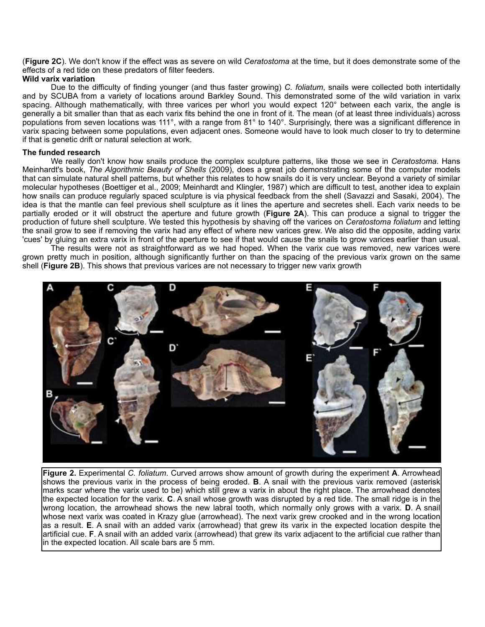(**Figure 2C**). We don't know if the effect was as severe on wild *Ceratostoma* at the time, but it does demonstrate some of the effects of a red tide on these predators of filter feeders.

# **Wild varix variation**

 Due to the difficulty of finding younger (and thus faster growing) *C. foliatum*, snails were collected both intertidally and by SCUBA from a variety of locations around Barkley Sound. This demonstrated some of the wild variation in varix spacing. Although mathematically, with three varices per whorl you would expect 120° between each varix, the angle is generally a bit smaller than that as each varix fits behind the one in front of it. The mean (of at least three individuals) across populations from seven locations was 111°, with a range from 81° to 140°. Surprisingly, there was a significant difference in varix spacing between some populations, even adjacent ones. Someone would have to look much closer to try to determine if that is genetic drift or natural selection at work.

## **The funded research**

 We really don't know how snails produce the complex sculpture patterns, like those we see in *Ceratostoma*. Hans Meinhardt's book, *The Algorithmic Beauty of Shells* (2009), does a great job demonstrating some of the computer models that can simulate natural shell patterns, but whether this relates to how snails do it is very unclear. Beyond a variety of similar molecular hypotheses (Boettiger et al., 2009; Meinhardt and Klingler, 1987) which are difficult to test, another idea to explain how snails can produce regularly spaced sculpture is via physical feedback from the shell (Savazzi and Sasaki, 2004). The idea is that the mantle can feel previous shell sculpture as it lines the aperture and secretes shell. Each varix needs to be partially eroded or it will obstruct the aperture and future growth (**Figure 2A**). This can produce a signal to trigger the production of future shell sculpture. We tested this hypothesis by shaving off the varices on *Ceratostoma foliatum* and letting the snail grow to see if removing the varix had any effect of where new varices grew. We also did the opposite, adding varix 'cues' by gluing an extra varix in front of the aperture to see if that would cause the snails to grow varices earlier than usual.

 The results were not as straightforward as we had hoped. When the varix cue was removed, new varices were grown pretty much in position, although significantly further on than the spacing of the previous varix grown on the same shell (**Figure 2B**). This shows that previous varices are not necessary to trigger new varix growth



**Figure 2.** Experimental *C. foliatum*. Curved arrows show amount of growth during the experiment **A**. Arrowhead shows the previous varix in the process of being eroded. **B**. A snail with the previous varix removed (asterisk marks scar where the varix used to be) which still grew a varix in about the right place. The arrowhead denotes the expected location for the varix. **C**. A snail whose growth was disrupted by a red tide. The small ridge is in the wrong location, the arrowhead shows the new labral tooth, which normally only grows with a varix. **D**. A snail whose next varix was coated in Krazy glue (arrowhead). The next varix grew crooked and in the wrong location as a result. **E**. A snail with an added varix (arrowhead) that grew its varix in the expected location despite the artificial cue. **F**. A snail with an added varix (arrowhead) that grew its varix adjacent to the artificial cue rather than in the expected location. All scale bars are 5 mm.